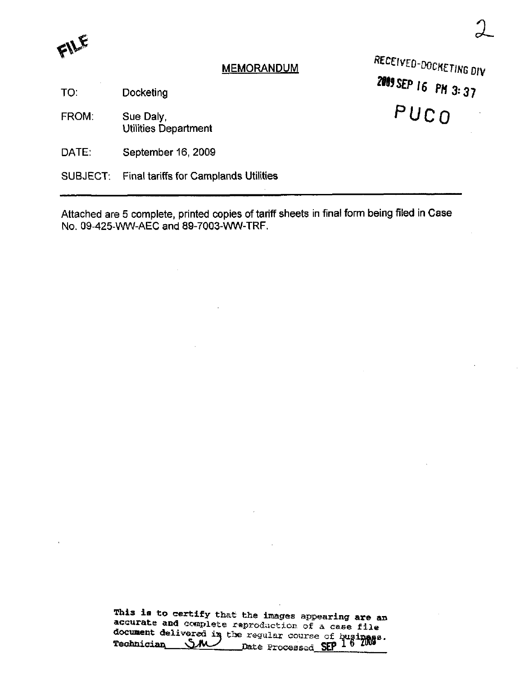FILE

## **MEMORANDUM**

RECEIVED-DOCKETING DIV 2009 SEP 16 PM 3:37 PUCO

 $2$ 

TO: **Docketing** 

FROM. Sue Daly, Utilities Department

DATE: September 16, 2009

SUBJECT: Final tariffs for Camplands Utilities

Attached are 5 complete, printed copies of tariff sheets in final form being filed in Case No. 09-425-WW-AEC and 89-7003-WW-TRF.

> This is to certify that the images appearing are an accurate and complete reproduction of a case file document delivered in the regular course of businass. Teohnician /ered iii Jate Processed SEP <sup>1</sup>